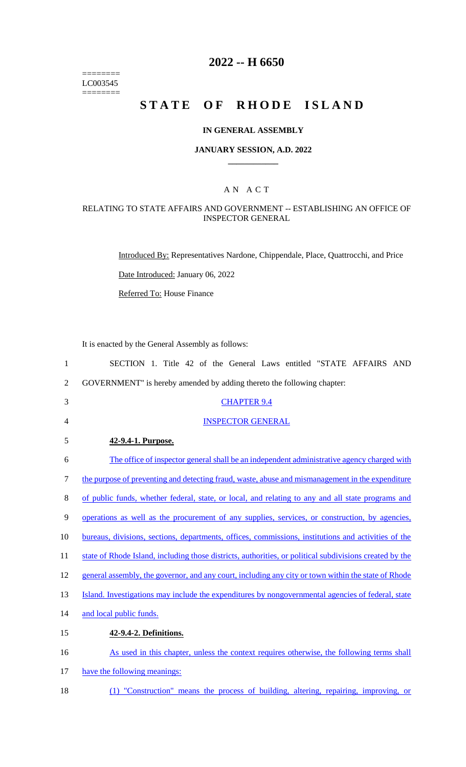======== LC003545  $=$ 

# **2022 -- H 6650**

# **STATE OF RHODE ISLAND**

### **IN GENERAL ASSEMBLY**

#### **JANUARY SESSION, A.D. 2022 \_\_\_\_\_\_\_\_\_\_\_\_**

### A N A C T

#### RELATING TO STATE AFFAIRS AND GOVERNMENT -- ESTABLISHING AN OFFICE OF INSPECTOR GENERAL

Introduced By: Representatives Nardone, Chippendale, Place, Quattrocchi, and Price

Date Introduced: January 06, 2022

Referred To: House Finance

It is enacted by the General Assembly as follows:

| 1              | SECTION 1. Title 42 of the General Laws entitled "STATE AFFAIRS AND                                     |
|----------------|---------------------------------------------------------------------------------------------------------|
| $\overline{2}$ | GOVERNMENT" is hereby amended by adding thereto the following chapter:                                  |
| 3              | <b>CHAPTER 9.4</b>                                                                                      |
| 4              | <b>INSPECTOR GENERAL</b>                                                                                |
| 5              | 42-9.4-1. Purpose.                                                                                      |
| 6              | The office of inspector general shall be an independent administrative agency charged with              |
| 7              | the purpose of preventing and detecting fraud, waste, abuse and mismanagement in the expenditure        |
| 8              | of public funds, whether federal, state, or local, and relating to any and all state programs and       |
| 9              | operations as well as the procurement of any supplies, services, or construction, by agencies,          |
| 10             | bureaus, divisions, sections, departments, offices, commissions, institutions and activities of the     |
| 11             | state of Rhode Island, including those districts, authorities, or political subdivisions created by the |
| 12             | general assembly, the governor, and any court, including any city or town within the state of Rhode     |
| 13             | Island. Investigations may include the expenditures by nongovernmental agencies of federal, state       |
| 14             | and local public funds.                                                                                 |
| 15             | 42-9.4-2. Definitions.                                                                                  |
| 16             | As used in this chapter, unless the context requires otherwise, the following terms shall               |
| 17             | have the following meanings:                                                                            |
|                |                                                                                                         |

18 (1) "Construction" means the process of building, altering, repairing, improving, or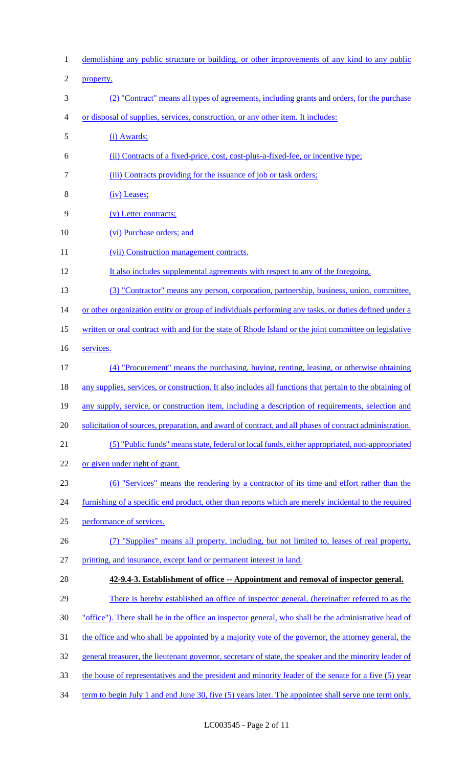demolishing any public structure or building, or other improvements of any kind to any public property. (2) "Contract" means all types of agreements, including grants and orders, for the purchase or disposal of supplies, services, construction, or any other item. It includes: (i) Awards; (ii) Contracts of a fixed-price, cost, cost-plus-a-fixed-fee, or incentive type; (iii) Contracts providing for the issuance of job or task orders; (iv) Leases; (v) Letter contracts; 10 (vi) Purchase orders; and 11 (vii) Construction management contracts. It also includes supplemental agreements with respect to any of the foregoing. (3) "Contractor" means any person, corporation, partnership, business, union, committee, 14 or other organization entity or group of individuals performing any tasks, or duties defined under a written or oral contract with and for the state of Rhode Island or the joint committee on legislative services. (4) "Procurement" means the purchasing, buying, renting, leasing, or otherwise obtaining 18 any supplies, services, or construction. It also includes all functions that pertain to the obtaining of any supply, service, or construction item, including a description of requirements, selection and 20 solicitation of sources, preparation, and award of contract, and all phases of contract administration. (5) "Public funds" means state, federal or local funds, either appropriated, non-appropriated or given under right of grant. (6) "Services" means the rendering by a contractor of its time and effort rather than the 24 furnishing of a specific end product, other than reports which are merely incidental to the required performance of services. (7) "Supplies" means all property, including, but not limited to, leases of real property, printing, and insurance, except land or permanent interest in land. **42-9.4-3. Establishment of office -- Appointment and removal of inspector general.** 29 There is hereby established an office of inspector general, (hereinafter referred to as the "office"). There shall be in the office an inspector general, who shall be the administrative head of the office and who shall be appointed by a majority vote of the governor, the attorney general, the 32 general treasurer, the lieutenant governor, secretary of state, the speaker and the minority leader of the house of representatives and the president and minority leader of the senate for a five (5) year 34 term to begin July 1 and end June 30, five (5) years later. The appointee shall serve one term only.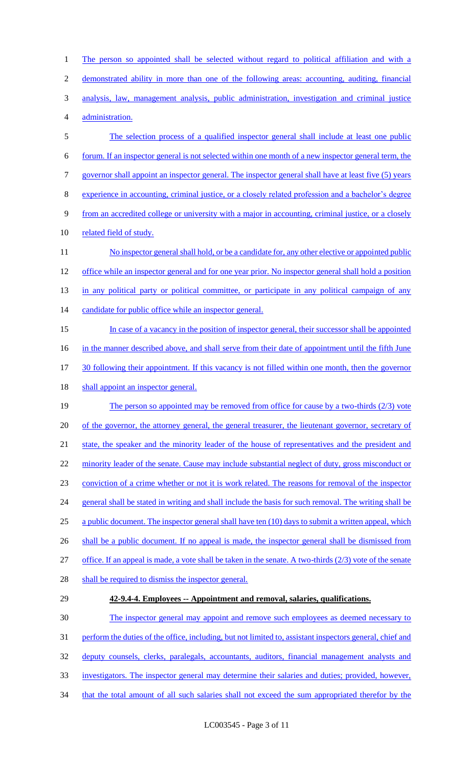2 demonstrated ability in more than one of the following areas: accounting, auditing, financial 3 analysis, law, management analysis, public administration, investigation and criminal justice 4 administration. 5 The selection process of a qualified inspector general shall include at least one public 6 forum. If an inspector general is not selected within one month of a new inspector general term, the 7 governor shall appoint an inspector general. The inspector general shall have at least five (5) years 8 experience in accounting, criminal justice, or a closely related profession and a bachelor's degree 9 from an accredited college or university with a major in accounting, criminal justice, or a closely 10 related field of study. 11 No inspector general shall hold, or be a candidate for, any other elective or appointed public 12 office while an inspector general and for one year prior. No inspector general shall hold a position 13 in any political party or political committee, or participate in any political campaign of any 14 candidate for public office while an inspector general. 15 In case of a vacancy in the position of inspector general, their successor shall be appointed 16 in the manner described above, and shall serve from their date of appointment until the fifth June 17 30 following their appointment. If this vacancy is not filled within one month, then the governor 18 shall appoint an inspector general. 19 The person so appointed may be removed from office for cause by a two-thirds (2/3) vote 20 of the governor, the attorney general, the general treasurer, the lieutenant governor, secretary of 21 state, the speaker and the minority leader of the house of representatives and the president and 22 minority leader of the senate. Cause may include substantial neglect of duty, gross misconduct or 23 conviction of a crime whether or not it is work related. The reasons for removal of the inspector 24 general shall be stated in writing and shall include the basis for such removal. The writing shall be 25 a public document. The inspector general shall have ten (10) days to submit a written appeal, which 26 shall be a public document. If no appeal is made, the inspector general shall be dismissed from 27 office. If an appeal is made, a vote shall be taken in the senate. A two-thirds (2/3) vote of the senate 28 shall be required to dismiss the inspector general. 29 **42-9.4-4. Employees -- Appointment and removal, salaries, qualifications.** 30 The inspector general may appoint and remove such employees as deemed necessary to 31 perform the duties of the office, including, but not limited to, assistant inspectors general, chief and 32 deputy counsels, clerks, paralegals, accountants, auditors, financial management analysts and

1 The person so appointed shall be selected without regard to political affiliation and with a

- 33 investigators. The inspector general may determine their salaries and duties; provided, however,
- 34 that the total amount of all such salaries shall not exceed the sum appropriated therefor by the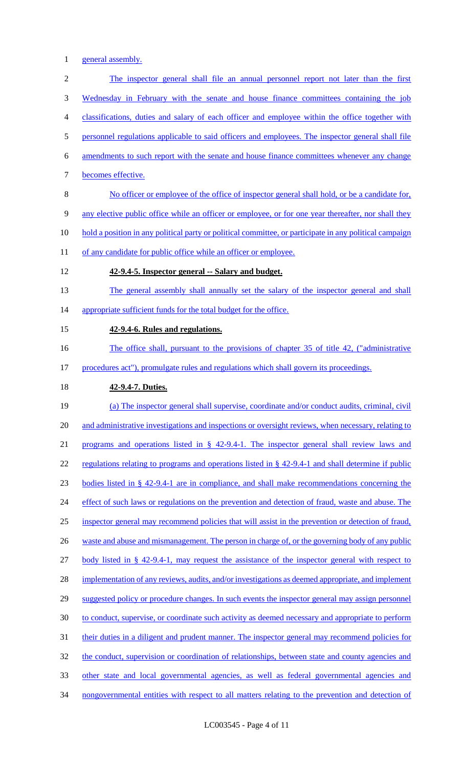1 general assembly.

2 The inspector general shall file an annual personnel report not later than the first 3 Wednesday in February with the senate and house finance committees containing the job 4 classifications, duties and salary of each officer and employee within the office together with 5 personnel regulations applicable to said officers and employees. The inspector general shall file 6 amendments to such report with the senate and house finance committees whenever any change 7 becomes effective. 8 No officer or employee of the office of inspector general shall hold, or be a candidate for, 9 any elective public office while an officer or employee, or for one year thereafter, nor shall they 10 hold a position in any political party or political committee, or participate in any political campaign 11 of any candidate for public office while an officer or employee. 12 **42-9.4-5. Inspector general -- Salary and budget.** 13 The general assembly shall annually set the salary of the inspector general and shall 14 appropriate sufficient funds for the total budget for the office. 15 **42-9.4-6. Rules and regulations.** 16 The office shall, pursuant to the provisions of chapter 35 of title 42, ("administrative 17 procedures act"), promulgate rules and regulations which shall govern its proceedings. 18 **42-9.4-7. Duties.** 19 (a) The inspector general shall supervise, coordinate and/or conduct audits, criminal, civil 20 and administrative investigations and inspections or oversight reviews, when necessary, relating to 21 programs and operations listed in § 42-9.4-1. The inspector general shall review laws and 22 regulations relating to programs and operations listed in § 42-9.4-1 and shall determine if public 23 bodies listed in § 42-9.4-1 are in compliance, and shall make recommendations concerning the 24 effect of such laws or regulations on the prevention and detection of fraud, waste and abuse. The 25 inspector general may recommend policies that will assist in the prevention or detection of fraud, 26 waste and abuse and mismanagement. The person in charge of, or the governing body of any public 27 body listed in § 42-9.4-1, may request the assistance of the inspector general with respect to 28 implementation of any reviews, audits, and/or investigations as deemed appropriate, and implement 29 suggested policy or procedure changes. In such events the inspector general may assign personnel 30 to conduct, supervise, or coordinate such activity as deemed necessary and appropriate to perform 31 their duties in a diligent and prudent manner. The inspector general may recommend policies for 32 the conduct, supervision or coordination of relationships, between state and county agencies and 33 other state and local governmental agencies, as well as federal governmental agencies and 34 nongovernmental entities with respect to all matters relating to the prevention and detection of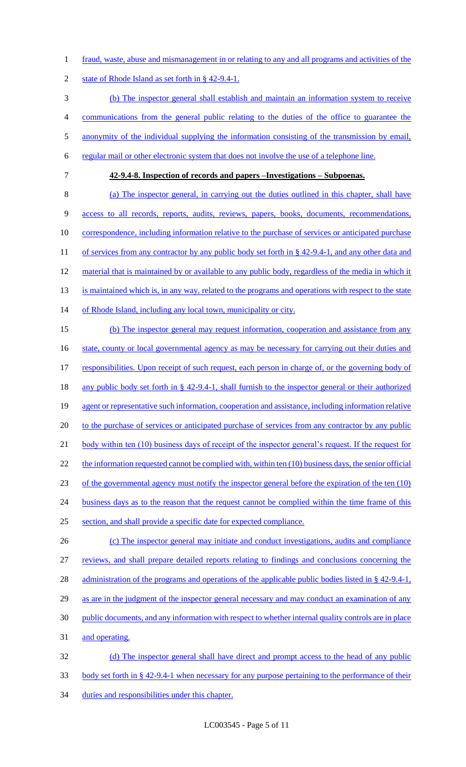1 fraud, waste, abuse and mismanagement in or relating to any and all programs and activities of the

2 state of Rhode Island as set forth in § 42-9.4-1.

 (b) The inspector general shall establish and maintain an information system to receive communications from the general public relating to the duties of the office to guarantee the 5 anonymity of the individual supplying the information consisting of the transmission by email, regular mail or other electronic system that does not involve the use of a telephone line.

7 **42-9.4-8. Inspection of records and papers –Investigations – Subpoenas.**

8 (a) The inspector general, in carrying out the duties outlined in this chapter, shall have 9 access to all records, reports, audits, reviews, papers, books, documents, recommendations, 10 correspondence, including information relative to the purchase of services or anticipated purchase 11 of services from any contractor by any public body set forth in § 42-9.4-1, and any other data and 12 material that is maintained by or available to any public body, regardless of the media in which it 13 is maintained which is, in any way, related to the programs and operations with respect to the state 14 of Rhode Island, including any local town, municipality or city.

15 (b) The inspector general may request information, cooperation and assistance from any 16 state, county or local governmental agency as may be necessary for carrying out their duties and 17 responsibilities. Upon receipt of such request, each person in charge of, or the governing body of 18 any public body set forth in § 42-9.4-1, shall furnish to the inspector general or their authorized 19 agent or representative such information, cooperation and assistance, including information relative 20 to the purchase of services or anticipated purchase of services from any contractor by any public 21 body within ten (10) business days of receipt of the inspector general's request. If the request for 22 the information requested cannot be complied with, within ten (10) business days, the senior official 23 of the governmental agency must notify the inspector general before the expiration of the ten (10) 24 business days as to the reason that the request cannot be complied within the time frame of this 25 section, and shall provide a specific date for expected compliance. 26 (c) The inspector general may initiate and conduct investigations, audits and compliance

 reviews, and shall prepare detailed reports relating to findings and conclusions concerning the 28 administration of the programs and operations of the applicable public bodies listed in § 42-9.4-1, 29 as are in the judgment of the inspector general necessary and may conduct an examination of any public documents, and any information with respect to whether internal quality controls are in place and operating. (d) The inspector general shall have direct and prompt access to the head of any public

33 body set forth in § 42-9.4-1 when necessary for any purpose pertaining to the performance of their

34 duties and responsibilities under this chapter.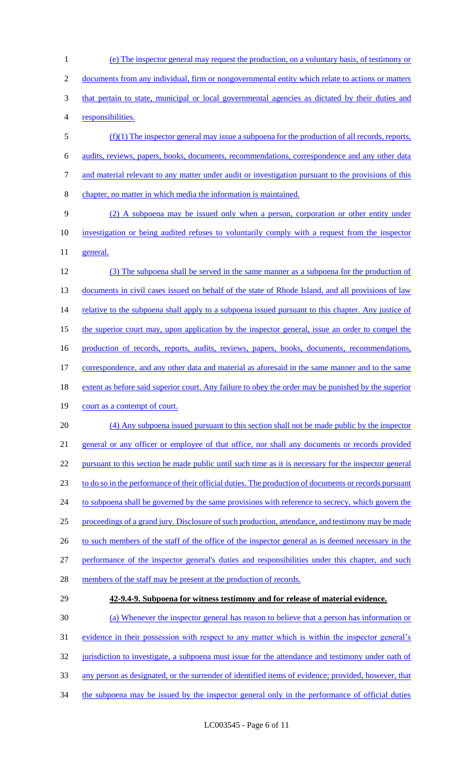(e) The inspector general may request the production, on a voluntary basis, of testimony or documents from any individual, firm or nongovernmental entity which relate to actions or matters that pertain to state, municipal or local governmental agencies as dictated by their duties and responsibilities. (f)(1) The inspector general may issue a subpoena for the production of all records, reports,

 audits, reviews, papers, books, documents, recommendations, correspondence and any other data and material relevant to any matter under audit or investigation pursuant to the provisions of this chapter, no matter in which media the information is maintained.

 (2) A subpoena may be issued only when a person, corporation or other entity under investigation or being audited refuses to voluntarily comply with a request from the inspector general.

 (3) The subpoena shall be served in the same manner as a subpoena for the production of 13 documents in civil cases issued on behalf of the state of Rhode Island, and all provisions of law 14 relative to the subpoena shall apply to a subpoena issued pursuant to this chapter. Any justice of 15 the superior court may, upon application by the inspector general, issue an order to compel the 16 production of records, reports, audits, reviews, papers, books, documents, recommendations, correspondence, and any other data and material as aforesaid in the same manner and to the same 18 extent as before said superior court. Any failure to obey the order may be punished by the superior 19 court as a contempt of court. (4) Any subpoena issued pursuant to this section shall not be made public by the inspector

 general or any officer or employee of that office, nor shall any documents or records provided pursuant to this section be made public until such time as it is necessary for the inspector general to do so in the performance of their official duties. The production of documents or records pursuant 24 to subpoena shall be governed by the same provisions with reference to secrecy, which govern the proceedings of a grand jury. Disclosure of such production, attendance, and testimony may be made 26 to such members of the staff of the office of the inspector general as is deemed necessary in the performance of the inspector general's duties and responsibilities under this chapter, and such

- 28 members of the staff may be present at the production of records.
- 

## **42-9.4-9. Subpoena for witness testimony and for release of material evidence.**

 (a) Whenever the inspector general has reason to believe that a person has information or evidence in their possession with respect to any matter which is within the inspector general's 32 jurisdiction to investigate, a subpoena must issue for the attendance and testimony under oath of any person as designated, or the surrender of identified items of evidence; provided, however, that

34 the subpoena may be issued by the inspector general only in the performance of official duties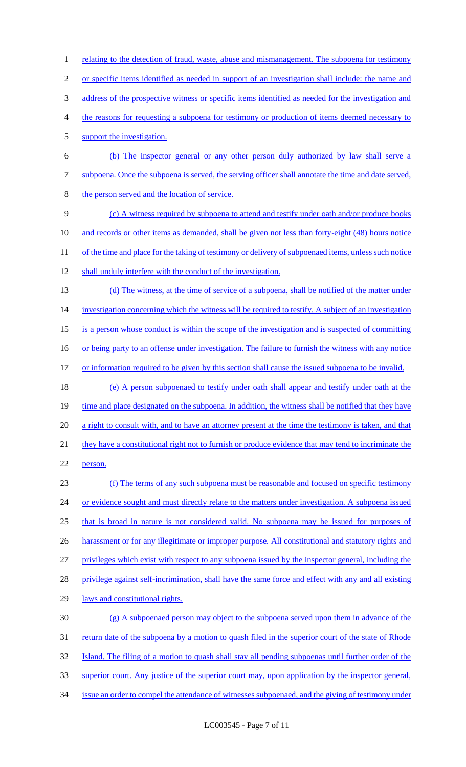2 or specific items identified as needed in support of an investigation shall include: the name and 3 address of the prospective witness or specific items identified as needed for the investigation and 4 the reasons for requesting a subpoena for testimony or production of items deemed necessary to 5 support the investigation. 6 (b) The inspector general or any other person duly authorized by law shall serve a 7 subpoena. Once the subpoena is served, the serving officer shall annotate the time and date served, 8 the person served and the location of service. 9 (c) A witness required by subpoena to attend and testify under oath and/or produce books 10 and records or other items as demanded, shall be given not less than forty-eight (48) hours notice 11 of the time and place for the taking of testimony or delivery of subpoenaed items, unless such notice 12 shall unduly interfere with the conduct of the investigation. 13 (d) The witness, at the time of service of a subpoena, shall be notified of the matter under 14 investigation concerning which the witness will be required to testify. A subject of an investigation 15 is a person whose conduct is within the scope of the investigation and is suspected of committing 16 or being party to an offense under investigation. The failure to furnish the witness with any notice 17 or information required to be given by this section shall cause the issued subpoena to be invalid. 18 (e) A person subpoenaed to testify under oath shall appear and testify under oath at the 19 time and place designated on the subpoena. In addition, the witness shall be notified that they have 20 a right to consult with, and to have an attorney present at the time the testimony is taken, and that 21 they have a constitutional right not to furnish or produce evidence that may tend to incriminate the 22 person. 23 (f) The terms of any such subpoena must be reasonable and focused on specific testimony 24 or evidence sought and must directly relate to the matters under investigation. A subpoena issued 25 that is broad in nature is not considered valid. No subpoena may be issued for purposes of 26 harassment or for any illegitimate or improper purpose. All constitutional and statutory rights and 27 privileges which exist with respect to any subpoena issued by the inspector general, including the 28 privilege against self-incrimination, shall have the same force and effect with any and all existing 29 laws and constitutional rights. 30 (g) A subpoenaed person may object to the subpoena served upon them in advance of the 31 return date of the subpoena by a motion to quash filed in the superior court of the state of Rhode 32 Island. The filing of a motion to quash shall stay all pending subpoenas until further order of the 33 superior court. Any justice of the superior court may, upon application by the inspector general, 34 issue an order to compel the attendance of witnesses subpoenaed, and the giving of testimony under

1 relating to the detection of fraud, waste, abuse and mismanagement. The subpoena for testimony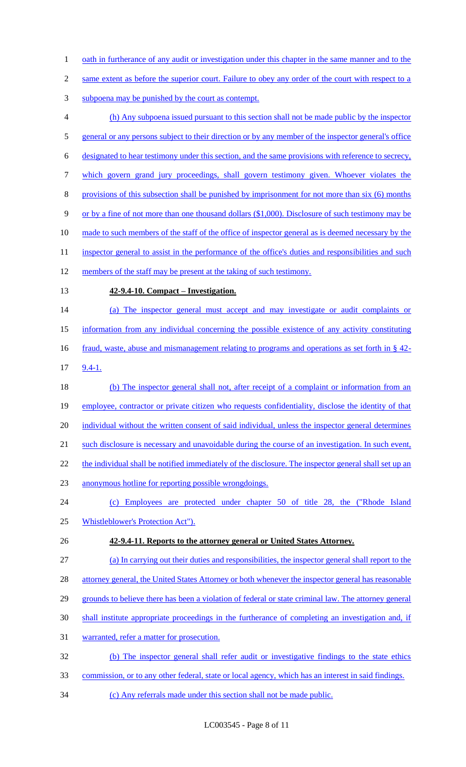- 1 oath in furtherance of any audit or investigation under this chapter in the same manner and to the
- 2 same extent as before the superior court. Failure to obey any order of the court with respect to a
- subpoena may be punished by the court as contempt.
- (h) Any subpoena issued pursuant to this section shall not be made public by the inspector 5 general or any persons subject to their direction or by any member of the inspector general's office designated to hear testimony under this section, and the same provisions with reference to secrecy, which govern grand jury proceedings, shall govern testimony given. Whoever violates the provisions of this subsection shall be punished by imprisonment for not more than six (6) months or by a fine of not more than one thousand dollars (\$1,000). Disclosure of such testimony may be 10 made to such members of the staff of the office of inspector general as is deemed necessary by the 11 inspector general to assist in the performance of the office's duties and responsibilities and such 12 members of the staff may be present at the taking of such testimony. **42-9.4-10. Compact – Investigation.** (a) The inspector general must accept and may investigate or audit complaints or information from any individual concerning the possible existence of any activity constituting 16 fraud, waste, abuse and mismanagement relating to programs and operations as set forth in § 42-9.4-1.
- 18 (b) The inspector general shall not, after receipt of a complaint or information from an employee, contractor or private citizen who requests confidentiality, disclose the identity of that 20 individual without the written consent of said individual, unless the inspector general determines such disclosure is necessary and unavoidable during the course of an investigation. In such event, 22 the individual shall be notified immediately of the disclosure. The inspector general shall set up an
- anonymous hotline for reporting possible wrongdoings.
- (c) Employees are protected under chapter 50 of title 28, the ("Rhode Island Whistleblower's Protection Act").
- **42-9.4-11. Reports to the attorney general or United States Attorney.**
- (a) In carrying out their duties and responsibilities, the inspector general shall report to the
- 28 attorney general, the United States Attorney or both whenever the inspector general has reasonable
- grounds to believe there has been a violation of federal or state criminal law. The attorney general
- shall institute appropriate proceedings in the furtherance of completing an investigation and, if
- warranted, refer a matter for prosecution.
- (b) The inspector general shall refer audit or investigative findings to the state ethics
- commission, or to any other federal, state or local agency, which has an interest in said findings.
- (c) Any referrals made under this section shall not be made public.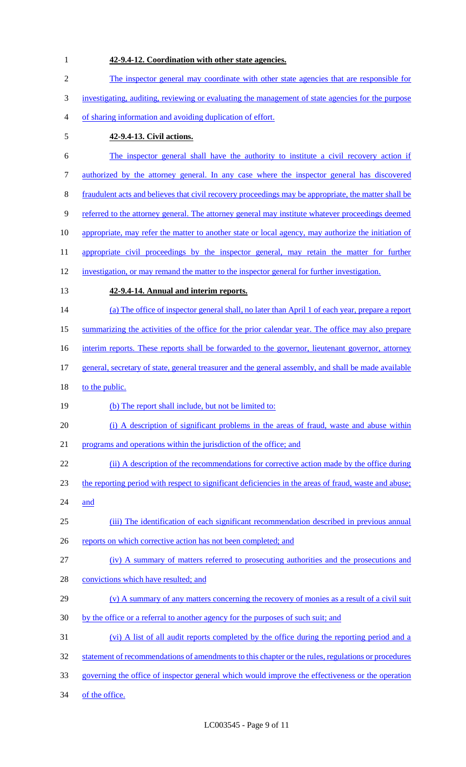**42-9.4-12. Coordination with other state agencies.** The inspector general may coordinate with other state agencies that are responsible for investigating, auditing, reviewing or evaluating the management of state agencies for the purpose of sharing information and avoiding duplication of effort. **42-9.4-13. Civil actions.** The inspector general shall have the authority to institute a civil recovery action if authorized by the attorney general. In any case where the inspector general has discovered fraudulent acts and believes that civil recovery proceedings may be appropriate, the matter shall be referred to the attorney general. The attorney general may institute whatever proceedings deemed appropriate, may refer the matter to another state or local agency, may authorize the initiation of 11 appropriate civil proceedings by the inspector general, may retain the matter for further investigation, or may remand the matter to the inspector general for further investigation. **42-9.4-14. Annual and interim reports.** (a) The office of inspector general shall, no later than April 1 of each year, prepare a report summarizing the activities of the office for the prior calendar year. The office may also prepare 16 interim reports. These reports shall be forwarded to the governor, lieutenant governor, attorney 17 general, secretary of state, general treasurer and the general assembly, and shall be made available 18 to the public. (b) The report shall include, but not be limited to: (i) A description of significant problems in the areas of fraud, waste and abuse within programs and operations within the jurisdiction of the office; and 22 (ii) A description of the recommendations for corrective action made by the office during the reporting period with respect to significant deficiencies in the areas of fraud, waste and abuse; and (iii) The identification of each significant recommendation described in previous annual 26 reports on which corrective action has not been completed; and (iv) A summary of matters referred to prosecuting authorities and the prosecutions and 28 convictions which have resulted; and (v) A summary of any matters concerning the recovery of monies as a result of a civil suit 30 by the office or a referral to another agency for the purposes of such suit; and (vi) A list of all audit reports completed by the office during the reporting period and a 32 statement of recommendations of amendments to this chapter or the rules, regulations or procedures governing the office of inspector general which would improve the effectiveness or the operation 34 of the office.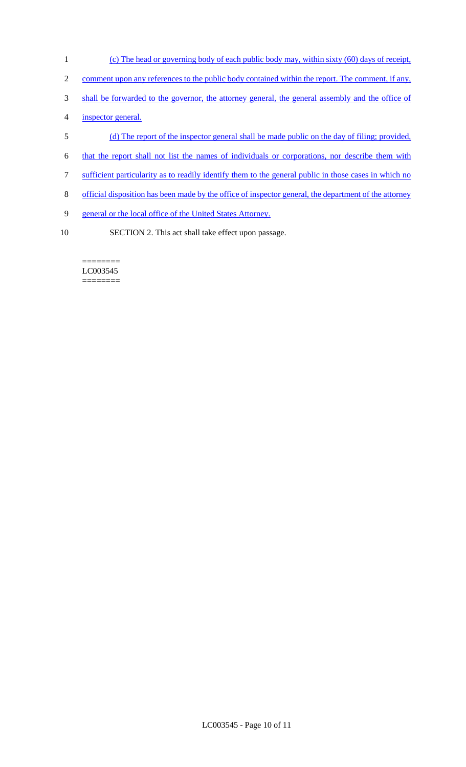- (c) The head or governing body of each public body may, within sixty (60) days of receipt,
- 2 comment upon any references to the public body contained within the report. The comment, if any,
- shall be forwarded to the governor, the attorney general, the general assembly and the office of
- inspector general.
- (d) The report of the inspector general shall be made public on the day of filing; provided,
- that the report shall not list the names of individuals or corporations, nor describe them with
- sufficient particularity as to readily identify them to the general public in those cases in which no
- official disposition has been made by the office of inspector general, the department of the attorney
- general or the local office of the United States Attorney.
- SECTION 2. This act shall take effect upon passage.

======== LC003545 ========